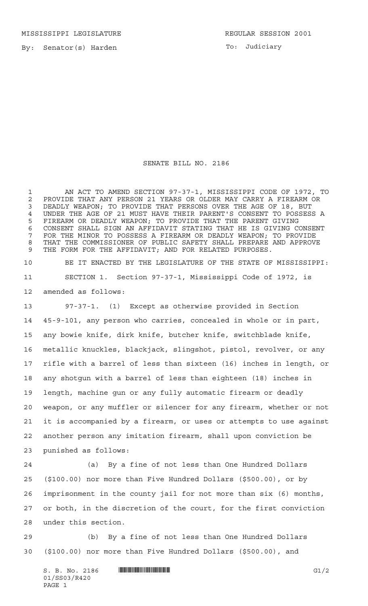MISSISSIPPI LEGISLATURE **REGULAR SESSION 2001** 

By: Senator(s) Harden

To: Judiciary

## SENATE BILL NO. 2186

 AN ACT TO AMEND SECTION 97-37-1, MISSISSIPPI CODE OF 1972, TO PROVIDE THAT ANY PERSON 21 YEARS OR OLDER MAY CARRY A FIREARM OR DEADLY WEAPON; TO PROVIDE THAT PERSONS OVER THE AGE OF 18, BUT UNDER THE AGE OF 21 MUST HAVE THEIR PARENT'S CONSENT TO POSSESS A FIREARM OR DEADLY WEAPON; TO PROVIDE THAT THE PARENT GIVING CONSENT SHALL SIGN AN AFFIDAVIT STATING THAT HE IS GIVING CONSENT FOR THE MINOR TO POSSESS A FIREARM OR DEADLY WEAPON; TO PROVIDE THAT THE COMMISSIONER OF PUBLIC SAFETY SHALL PREPARE AND APPROVE THE FORM FOR THE AFFIDAVIT; AND FOR RELATED PURPOSES.

 BE IT ENACTED BY THE LEGISLATURE OF THE STATE OF MISSISSIPPI: SECTION 1. Section 97-37-1, Mississippi Code of 1972, is amended as follows:

 97-37-1. (1) Except as otherwise provided in Section 45-9-101, any person who carries, concealed in whole or in part, any bowie knife, dirk knife, butcher knife, switchblade knife, metallic knuckles, blackjack, slingshot, pistol, revolver, or any rifle with a barrel of less than sixteen (16) inches in length, or any shotgun with a barrel of less than eighteen (18) inches in length, machine gun or any fully automatic firearm or deadly weapon, or any muffler or silencer for any firearm, whether or not it is accompanied by a firearm, or uses or attempts to use against another person any imitation firearm, shall upon conviction be punished as follows:

 (a) By a fine of not less than One Hundred Dollars (\$100.00) nor more than Five Hundred Dollars (\$500.00), or by imprisonment in the county jail for not more than six (6) months, or both, in the discretion of the court, for the first conviction under this section.

 (b) By a fine of not less than One Hundred Dollars (\$100.00) nor more than Five Hundred Dollars (\$500.00), and

 $S. B. No. 2186$  **INNIFICALLY AND INTERNAL IN THE SECOND SET OF A SET OF A SET OF A SET OF A SET OF A SET OF A SET OF A SET OF A SET OF A SET OF A SET OF A SET OF A SET OF A SET OF A SET OF A SET OF A SET OF A SET OF A SET O** 01/SS03/R420 PAGE 1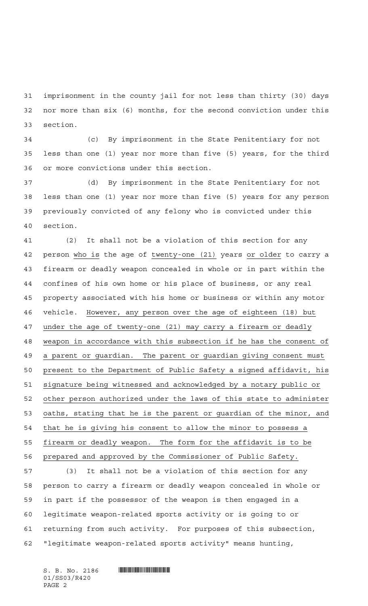imprisonment in the county jail for not less than thirty (30) days nor more than six (6) months, for the second conviction under this section.

 (c) By imprisonment in the State Penitentiary for not less than one (1) year nor more than five (5) years, for the third or more convictions under this section.

 (d) By imprisonment in the State Penitentiary for not less than one (1) year nor more than five (5) years for any person previously convicted of any felony who is convicted under this section.

 (2) It shall not be a violation of this section for any person who is the age of twenty-one (21) years or older to carry a firearm or deadly weapon concealed in whole or in part within the confines of his own home or his place of business, or any real property associated with his home or business or within any motor vehicle. However, any person over the age of eighteen (18) but under the age of twenty-one (21) may carry a firearm or deadly weapon in accordance with this subsection if he has the consent of a parent or guardian. The parent or guardian giving consent must present to the Department of Public Safety a signed affidavit, his signature being witnessed and acknowledged by a notary public or other person authorized under the laws of this state to administer oaths, stating that he is the parent or guardian of the minor, and that he is giving his consent to allow the minor to possess a firearm or deadly weapon. The form for the affidavit is to be prepared and approved by the Commissioner of Public Safety. (3) It shall not be a violation of this section for any person to carry a firearm or deadly weapon concealed in whole or in part if the possessor of the weapon is then engaged in a legitimate weapon-related sports activity or is going to or returning from such activity. For purposes of this subsection, "legitimate weapon-related sports activity" means hunting,

01/SS03/R420 PAGE 2

 $S. B. No. 2186$  . And  $S. A. 2186$